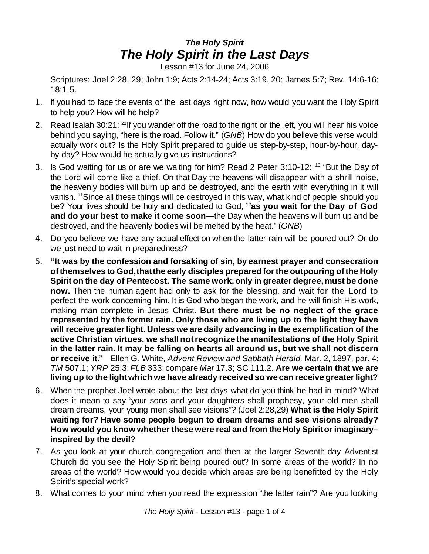## *The Holy Spirit The Holy Spirit in the Last Days*

Lesson #13 for June 24, 2006

Scriptures: Joel 2:28, 29; John 1:9; Acts 2:14-24; Acts 3:19, 20; James 5:7; Rev. 14:6-16; 18:1-5.

- 1. If you had to face the events of the last days right now, how would you want the Holy Spirit to help you? How will he help?
- 2. Read Isaiah 30:21: <sup>21</sup>If you wander off the road to the right or the left, you will hear his voice behind you saying, "here is the road. Follow it." (*GNB*) How do you believe this verse would actually work out? Is the Holy Spirit prepared to guide us step-by-step, hour-by-hour, dayby-day? How would he actually give us instructions?
- 3. Is God waiting for us or are we waiting for him? Read 2 Peter 3:10-12: <sup>10</sup> "But the Day of the Lord will come like a thief. On that Day the heavens will disappear with a shrill noise, the heavenly bodies will burn up and be destroyed, and the earth with everything in it will vanish. <sup>11</sup>Since all these things will be destroyed in this way, what kind of people should you be? Your lives should be holy and dedicated to God, <sup>12</sup>**as you wait for the Day of God and do your best to make it come soon**—the Day when the heavens will burn up and be destroyed, and the heavenly bodies will be melted by the heat." (*GNB*)
- 4. Do you believe we have any actual effect on when the latter rain will be poured out? Or do we just need to wait in preparedness?
- 5. **"It was by the confession and forsaking of sin, by earnest prayer and consecration ofthemselves to God,thatthe early disciples prepared forthe outpouring ofthe Holy Spirit on the day of Pentecost. The same work,only in greater degree,must be done now.** Then the human agent had only to ask for the blessing, and wait for the Lord to perfect the work concerning him. It is God who began the work, and he will finish His work, making man complete in Jesus Christ. **But there must be no neglect of the grace represented by the former rain. Only those who are living up to the light they have will receive greaterlight. Unless we are daily advancing in the exemplification of the active Christian virtues, we shall notrecognize the manifestations of the Holy Spirit in the latter rain. It may be falling on hearts all around us, but we shall not discern or receive it.**"—Ellen G. White, *Advent Review and Sabbath Herald,* Mar. 2, 1897, par. 4; *TM* 507.1; *YRP* 25.3;*FLB* 333; compare *Mar* 17.3; SC 111.2. **Are we certain that we are living up to the lightwhich we have already received so we can receive greaterlight?**
- 6. When the prophet Joel wrote about the last days what do you think he had in mind? What does it mean to say "your sons and your daughters shall prophesy, your old men shall dream dreams, your young men shall see visions"? (Joel 2:28,29) **What is the Holy Spirit waiting for? Have some people begun to dream dreams and see visions already? How would you know whetherthese were realand from theHoly Spiritorimaginary– inspired by the devil?**
- 7. As you look at your church congregation and then at the larger Seventh-day Adventist Church do you see the Holy Spirit being poured out? In some areas of the world? In no areas of the world? How would you decide which areas are being benefitted by the Holy Spirit's special work?
- 8. What comes to your mind when you read the expression "the latter rain"? Are you looking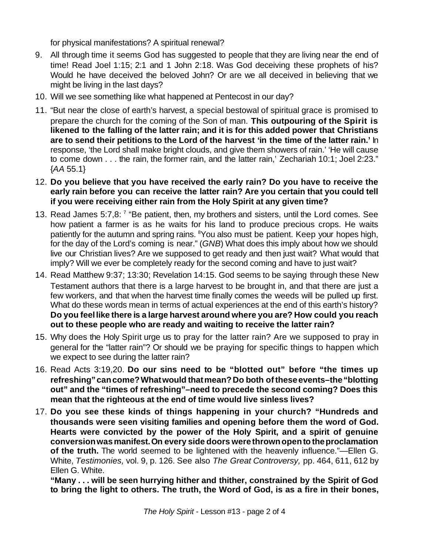for physical manifestations? A spiritual renewal?

- 9. All through time it seems God has suggested to people that they are living near the end of time! Read Joel 1:15; 2:1 and 1 John 2:18. Was God deceiving these prophets of his? Would he have deceived the beloved John? Or are we all deceived in believing that we might be living in the last days?
- 10. Will we see something like what happened at Pentecost in our day?
- 11. "But near the close of earth's harvest, a special bestowal of spiritual grace is promised to prepare the church for the coming of the Son of man. **This outpouring of the Spirit is likened to the falling of the latter rain; and it is for this added power that Christians are to send their petitions to the Lord of the harvest 'in the time of the latter rain.'** In response, 'the Lord shall make bright clouds, and give them showers of rain.' 'He will cause to come down . . . the rain, the former rain, and the latter rain,' Zechariah 10:1; Joel 2:23." {*AA* 55.1}
- 12. **Do you believe that you have received the early rain? Do you have to receive the early rain before you can receive the latter rain? Are you certain that you could tell if you were receiving either rain from the Holy Spirit at any given time?**
- 13. Read James 5:7,8:<sup>7</sup> "Be patient, then, my brothers and sisters, until the Lord comes. See how patient a farmer is as he waits for his land to produce precious crops. He waits patiently for the autumn and spring rains. <sup>8</sup>You also must be patient. Keep your hopes high, for the day of the Lord's coming is near." (*GNB*) What does this imply about how we should live our Christian lives? Are we supposed to get ready and then just wait? What would that imply? Will we ever be completely ready for the second coming and have to just wait?
- 14. Read Matthew 9:37; 13:30; Revelation 14:15. God seems to be saying through these New Testament authors that there is a large harvest to be brought in, and that there are just a few workers, and that when the harvest time finally comes the weeds will be pulled up first. What do these words mean in terms of actual experiences at the end of this earth's history? **Do you feellike there is a large harvest around where you are? How could you reach out to these people who are ready and waiting to receive the latter rain?**
- 15. Why does the Holy Spirit urge us to pray for the latter rain? Are we supposed to pray in general for the "latter rain"? Or should we be praying for specific things to happen which we expect to see during the latter rain?
- 16. Read Acts 3:19,20. **Do our sins need to be "blotted out" before "the times up refreshing"cancome?Whatwould thatmean?Do both oftheseevents–the"blotting out" and the "times of refreshing"–need to precede the second coming? Does this mean that the righteous at the end of time would live sinless lives?**
- 17. **Do you see these kinds of things happening in your church? "Hundreds and thousands were seen visiting families and opening before them the word of God. Hearts were convicted by the power of the Holy Spirit, and a spirit of genuine conversionwasmanifest.On every side doors werethrownopento theproclamation of the truth.** The world seemed to be lightened with the heavenly influence."—Ellen G. White, *Testimonies,* vol. 9, p. 126. See also *The Great Controversy,* pp. 464, 611, 612 by Ellen G. White.

**"Many . . . will be seen hurrying hither and thither, constrained by the Spirit of God to bring the light to others. The truth, the Word of God, is as a fire in their bones,**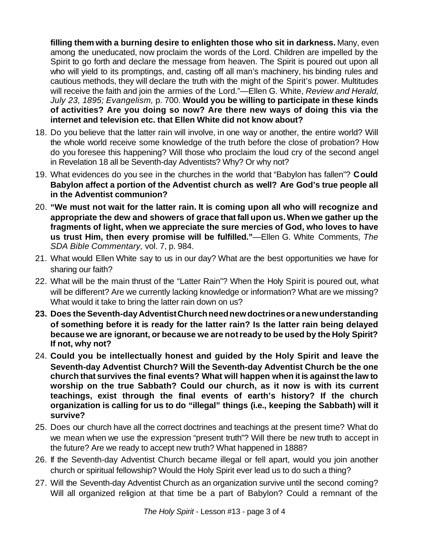**filling them with a burning desire to enlighten those who sit in darkness.** Many, even among the uneducated, now proclaim the words of the Lord. Children are impelled by the Spirit to go forth and declare the message from heaven. The Spirit is poured out upon all who will yield to its promptings, and, casting off all man's machinery, his binding rules and cautious methods, they will declare the truth with the might of the Spirit's power. Multitudes will receive the faith and join the armies of the Lord."—Ellen G. White, *Review and Herald, July 23, 1895; Evangelism,* p. 700. **Would you be willing to participate in these kinds of activities? Are you doing so now? Are there new ways of doing this via the internet and television etc. that Ellen White did not know about?**

- 18. Do you believe that the latter rain will involve, in one way or another, the entire world? Will the whole world receive some knowledge of the truth before the close of probation? How do you foresee this happening? Will those who proclaim the loud cry of the second angel in Revelation 18 all be Seventh-day Adventists? Why? Or why not?
- 19. What evidences do you see in the churches in the world that "Babylon has fallen"? **Could Babylon affect a portion of the Adventist church as well? Are God's true people all in the Adventist communion?**
- 20. **"We must not wait for the latter rain. It is coming upon all who will recognize and appropriate the dew and showers of grace that fall upon us.When we gather up the fragments of light, when we appreciate the sure mercies of God, who loves to have us trust Him, then every promise will be fulfilled."**—Ellen G. White Comments, *The SDA Bible Commentary,* vol. 7, p. 984.
- 21. What would Ellen White say to us in our day? What are the best opportunities we have for sharing our faith?
- 22. What will be the main thrust of the "Latter Rain"? When the Holy Spirit is poured out, what will be different? Are we currently lacking knowledge or information? What are we missing? What would it take to bring the latter rain down on us?
- **23. Does the Seventh-dayAdventistChurchneednewdoctrinesoranewunderstanding of something before it is ready for the latter rain? Is the latter rain being delayed because we are ignorant, or because we are notready to be used by the Holy Spirit? If not, why not?**
- 24. **Could you be intellectually honest and guided by the Holy Spirit and leave the Seventh-day Adventist Church? Will the Seventh-day Adventist Church be the one church that survives the final events? What will happen when itis against the law to worship on the true Sabbath? Could our church, as it now is with its current teachings, exist through the final events of earth's history? If the church organization is calling for us to do "illegal" things (i.e., keeping the Sabbath) will it survive?**
- 25. Does our church have all the correct doctrines and teachings at the present time? What do we mean when we use the expression "present truth"? Will there be new truth to accept in the future? Are we ready to accept new truth? What happened in 1888?
- 26. If the Seventh-day Adventist Church became illegal or fell apart, would you join another church or spiritual fellowship? Would the Holy Spirit ever lead us to do such a thing?
- 27. Will the Seventh-day Adventist Church as an organization survive until the second coming? Will all organized religion at that time be a part of Babylon? Could a remnant of the